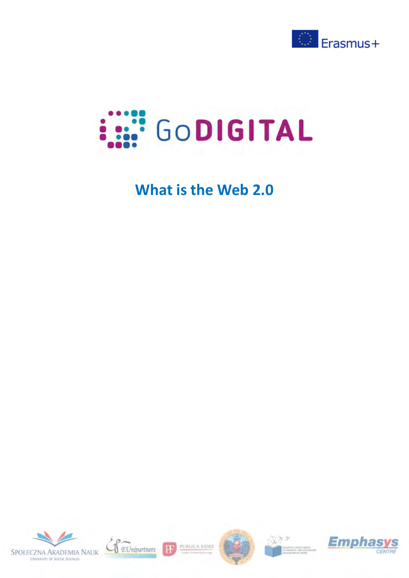



## **What is the Web 2.0**





PUBLICA FIDES

**H** 





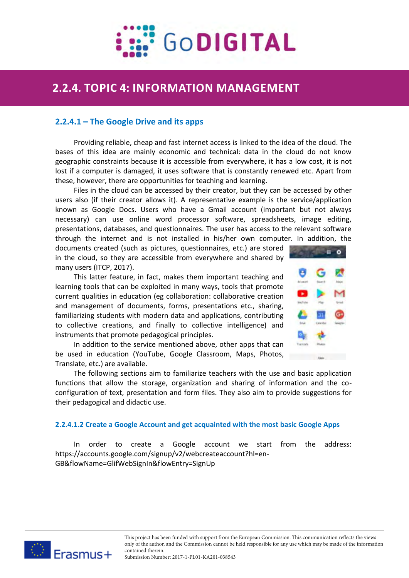

# **2.2.4 TOPIC 4: INFORMATION MANAGEMENT 2.2.4. TOPIC 4: INFORMATION MANAGEMENT**

## **2.2.4.1 – The Google Drive and its apps**

Providing reliable, cheap and fast internet access is linked to the idea of the cloud. The bases of this idea are mainly economic and technical: data in the cloud do not know geographic constraints because it is accessible from everywhere, it has a low cost, it is not lost if a computer is damaged, it uses software that is constantly renewed etc. Apart from these, however, there are opportunities for teaching and learning.

Files in the cloud can be accessed by their creator, but they can be accessed by other users also (if their creator allows it). A representative example is the service/application known as Google Docs. Users who have a Gmail account (important but not always necessary) can use online word processor software, spreadsheets, image editing, presentations, databases, and questionnaires. The user has access to the relevant software through the internet and is not installed in his/her own computer. In addition, the

documents created (such as pictures, questionnaires, etc.) are stored in the cloud, so they are accessible from everywhere and shared by many users (ITCP, 2017).

This latter feature, in fact, makes them important teaching and learning tools that can be exploited in many ways, tools that promote current qualities in education (eg collaboration: collaborative creation and management of documents, forms, presentations etc., sharing, familiarizing students with modern data and applications, contributing to collective creations, and finally to collective intelligence) and instruments that promote pedagogical principles.

In addition to the service mentioned above, other apps that can be used in education (YouTube, Google Classroom, Maps, Photos, Translate, etc.) are available.



1

The following sections aim to familiarize teachers with the use and basic application functions that allow the storage, organization and sharing of information and the coconfiguration of text, presentation and form files. They also aim to provide suggestions for their pedagogical and didactic use.

#### **2.2.4.1.2 Create a Google Account and get acquainted with the most basic Google Apps**

order to create a Google account we start from the address: https://accounts.google.com/signup/v2/webcreateaccount?hl=en-GB&flowName=GlifWebSignIn&flowEntry=SignUp

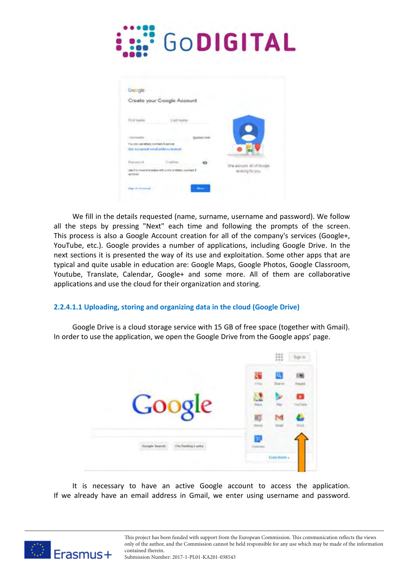

| Google                                |                                                             |                   |                           |
|---------------------------------------|-------------------------------------------------------------|-------------------|---------------------------|
|                                       | Creete your Google Account                                  |                   |                           |
|                                       |                                                             |                   |                           |
| First dustre.                         | List Arams                                                  |                   |                           |
| <b>UNITED ATES</b>                    |                                                             | <b>Gernal</b> com |                           |
| You can alwielters numbers & petrolet |                                                             |                   |                           |
|                                       | Der my car int antilla filterna instruct                    |                   |                           |
| Parmich                               | Continue                                                    |                   | One account All of Google |
| ayrczynta                             | Like if or more characters with a major internal markets if |                   | wishing for you.          |

We fill in the details requested (name, surname, username and password). We follow all the steps by pressing "Next" each time and following the prompts of the screen. This process is also a Google Account creation for all of the company's services (Google+, YouTube, etc.). Google provides a number of applications, including Google Drive. In the next sections it is presented the way of its use and exploitation. Some other apps that are typical and quite usable in education are: Google Maps, Google Photos, Google Classroom, Youtube, Translate, Calendar, Google+ and some more. All of them are collaborative applications and use the cloud for their organization and storing.

### **2.2.4.1.1 Uploading, storing and organizing data in the cloud (Google Drive)**

Google Drive is a cloud storage service with 15 GB of free space (together with Gmail). In order to use the application, we open the Google Drive from the Google apps' page.



It is necessary to have an active Google account to access the application. If we already have an email address in Gmail, we enter using username and password.

> This project has been funded with support from the European Commission. This communication reflects the views only of the author, and the Commission cannot be held responsible for any use which may be made of the information contained therein.

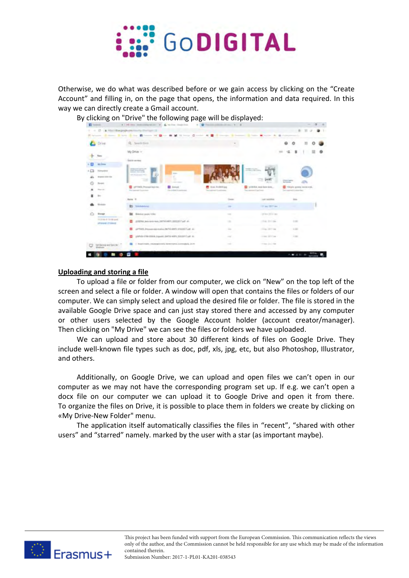

Otherwise, we do what was described before or we gain access by clicking on the "Create Account" and filling in, on the page that opens, the information and data required. In this way we can directly create a Gmail account.

| <b>ET</b> Foreston |                                        | A 1.94 lines permissing at our 20, & he free thank from                                                                                               |                                                                                                |                                                                                                              | $\sim$ |
|--------------------|----------------------------------------|-------------------------------------------------------------------------------------------------------------------------------------------------------|------------------------------------------------------------------------------------------------|--------------------------------------------------------------------------------------------------------------|--------|
|                    |                                        | C  (2 . A Statistic products them the charges of<br>Riving States, Electronic Brown Highler # M History Clarks & B History, Electronic Marie # States |                                                                                                |                                                                                                              |        |
|                    | Drive                                  | Q . Twenty Divisi                                                                                                                                     |                                                                                                |                                                                                                              |        |
|                    | Filipin                                | My Drive -                                                                                                                                            |                                                                                                |                                                                                                              |        |
|                    | <b>Mill Browns</b>                     | <b>Shakin permanent</b>                                                                                                                               |                                                                                                |                                                                                                              |        |
| $\sqrt{2}$         | <b>Provident</b>                       | <b>DISSUELLY</b><br><b>SOMETIME AND</b>                                                                                                               |                                                                                                | <b>CONTRACTOR</b>                                                                                            |        |
| £.                 | Digest 4:01-446                        | <b>Telephone</b><br>z                                                                                                                                 |                                                                                                |                                                                                                              |        |
|                    | <b>Corner</b>                          |                                                                                                                                                       |                                                                                                |                                                                                                              |        |
|                    | The country of the                     | and Tringful, Procouped Audio mec.<br><b>D</b> formula<br><b>Five assessed I will have</b><br><b>Secretary Scott</b>                                  | <b>B</b> Box Fulfillians<br><b>Recognizing Freehold</b>                                        | The production mean beam media.<br>vincely grove more still.<br>Teachers and F keet some<br>and it come that |        |
|                    |                                        | Balla TI                                                                                                                                              |                                                                                                | LANT SUZZERIA<br>220                                                                                         |        |
|                    | <b>Richards</b>                        | <b>Bit Michelsberg</b>                                                                                                                                | $\sim$                                                                                         | In an Mill an                                                                                                |        |
|                    | <b>Stranger</b>                        | Bimier part time                                                                                                                                      | $\sim$                                                                                         | ٠<br>22 Stort 2014 1991                                                                                      |        |
|                    | 71316-211-14 post<br><b>PULL COAS</b>  | ETRINA Annibilizing ESTAGART, ESTERIT ad JL                                                                                                           | $\sim$                                                                                         | $-100$<br>The firms                                                                                          |        |
|                    |                                        | (4754) Provancia resista 2451-445; SVEDS Lab at                                                                                                       | $\cdots$                                                                                       | Allen, Hirrican<br>1.140                                                                                     |        |
|                    |                                        | planted all for control, in quality directly widers, measured with all                                                                                | $\frac{1}{2} \left( \frac{1}{2} \right) \left( \frac{1}{2} \right) \left( \frac{1}{2} \right)$ | 3 Inc. 221 Fire<br>A Links                                                                                   |        |
|                    | list dassigned best fac.<br>Electronic | 7 Brazil Holds, Intuitigationship benter gress currentalisms, 23.77.                                                                                  | $\frac{1}{2} \left( \frac{1}{2} \right) \left( \frac{1}{2} \right) \left( \frac{1}{2} \right)$ | If they pay in the                                                                                           |        |
|                    |                                        |                                                                                                                                                       |                                                                                                |                                                                                                              |        |

**Uploading and storing a file**

To upload a file or folder from our computer, we click on "New" on the top left of the screen and select a file or folder. A window will open that contains the files or folders of our computer. We can simply select and upload the desired file or folder. The file is stored in the available Google Drive space and can just stay stored there and accessed by any computer or other users selected by the Google Account holder (account creator/manager). Then clicking on "My Drive" we can see the files or folders we have uploaded.

We can upload and store about 30 different kinds of files on Google Drive. They include well-known file types such as doc, pdf, xls, jpg, etc, but also Photoshop, Illustrator, and others.

Additionally, on Google Drive, we can upload and open files we can't open in our computer as we may not have the corresponding program set up. If e.g. we can't open a docx file on our computer we can upload it to Google Drive and open it from there. To organize the files on Drive, it is possible to place them in folders we create by clicking on «My Drive-New Folder" menu.

The application itself automatically classifies the files in "recent", "shared with other users" and "starred" namely. marked by the user with a star (as important maybe).

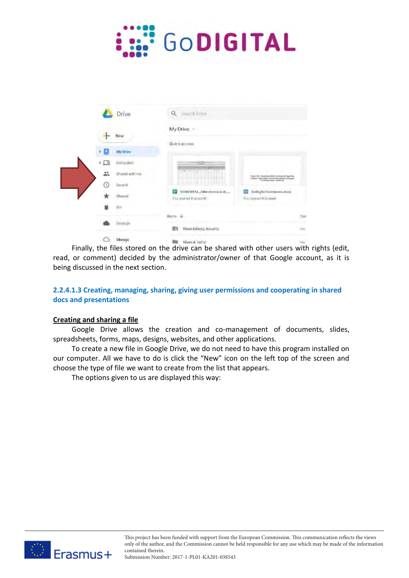

|                           | $\alpha$<br>Strait & Drive                                                                                          |                     |
|---------------------------|---------------------------------------------------------------------------------------------------------------------|---------------------|
| Drive                     |                                                                                                                     |                     |
| New                       | My Drive. -                                                                                                         |                     |
|                           | Quickaccess                                                                                                         |                     |
| My Drive<br>٠<br>e        |                                                                                                                     |                     |
| $+$ $\Box$ 0<br>Computers |                                                                                                                     |                     |
| 盀<br>Shared with ma       | Project Ohio Amgraing Stracks conting and Lagoston<br>matter tight lots it but it by there is truck.                |                     |
| Recent<br>0               |                                                                                                                     |                     |
| <b>Starred</b>            | ÷<br>GODIGITAL_Attendance List_<br>GoDigital Handware.docx<br>CU.<br>You coared this aronth<br>You romen't bis week |                     |
| 田田                        |                                                                                                                     |                     |
| Backups                   | Name &                                                                                                              | CWT                 |
|                           | 贮<br>Υλυχό Ειδικής Αγωνής                                                                                           | ms                  |
| Shoeaga<br>C              | <b>REAL Advise A section</b>                                                                                        | <b>The American</b> |

Finally, the files stored on the drive can be shared with other users with rights (edit, read, or comment) decided by the administrator/owner of that Google account, as it is being discussed in the next section.

## **2.2.4.1.3 Creating, managing, sharing, giving user permissions and cooperating in shared docs and presentations**

#### **Creating and sharing a file**

Google Drive allows the creation and co-management of documents, slides, spreadsheets, forms, maps, designs, websites, and other applications.

To create a new file in Google Drive, we do not need to have this program installed on our computer. All we have to do is click the "New" icon on the left top of the screen and choose the type of file we want to create from the list that appears.

The options given to us are displayed this way:

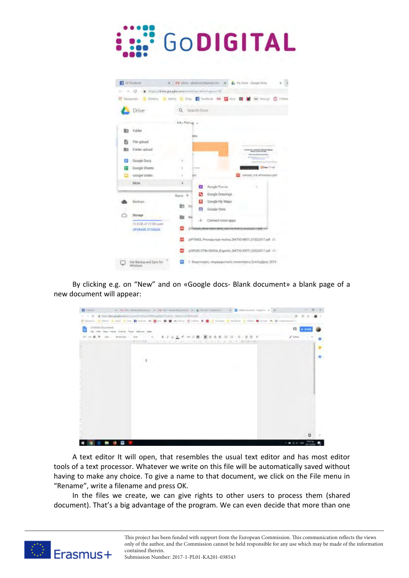

| <b>El</b> intentos                    | R M rins distants signal on X & My link - Gregatives                      |
|---------------------------------------|---------------------------------------------------------------------------|
|                                       | = C & Hangikhrapogliourn/immer-silmhayes-32                               |
|                                       | E Newvord. I Holyer, I Knivy I lave I leaded M I can I i H Holyer C Order |
| Drive                                 | Q. Search Drive                                                           |
|                                       | <b>A.A.I Particula</b><br>÷                                               |
| Folder                                | <b>BIES</b>                                                               |
| File upload                           |                                                                           |
| Folder coload                         |                                                                           |
| Google Doce                           | ٠,                                                                        |
| Google Sheets                         | <b>Dies</b> Grati                                                         |
| ucope sopra                           | απηγός για απτιλύγια απτ<br>18                                            |
| More                                  | ¥.<br>Guude Furne<br>⊟<br>٠                                               |
|                                       | Google Drawings:<br>ь<br>Ransi +                                          |
| Backlain -                            | Google My Maps                                                            |
|                                       | ■ 16<br>Google Sites<br>e                                                 |
| Storige                               | $0$<br>Connect more apps                                                  |
| FL II Glueb 15 CR sand                |                                                                           |
| UPCRATE STORAGE                       | <b>RIPLE-HENVEL LEVEL FIRLE-HENVELE TRUNISIEN IN IT (2450)</b>            |
|                                       | JEPTERS, Procopa-tupi-motiva_DKTIO-KRETL_01022017.pdf - JJL               |
|                                       | (eSPUD) STIN ODESA_Expertis_DIKTIO KRITE_02022017.pdf 22                  |
| Dat Bacioza and Syric for<br>Mindows: | 1. Χαφετισμός, επιμερφωτικές συναντήσεις Σεπτύμβρης 2019.                 |

By clicking e.g. on "New" and on «Google docs- Blank document» a blank page of a new document will appear:



A text editor It will open, that resembles the usual text editor and has most editor tools of a text processor. Whatever we write on this file will be automatically saved without having to make any choice. To give a name to that document, we click on the File menu in "Rename", write a filename and press OK.

In the files we create, we can give rights to other users to process them (shared document). That's a big advantage of the program. We can even decide that more than one

> This project has been funded with support from the European Commission. This communication reflects the views only of the author, and the Commission cannot be held responsible for any use which may be made of the information contained therein.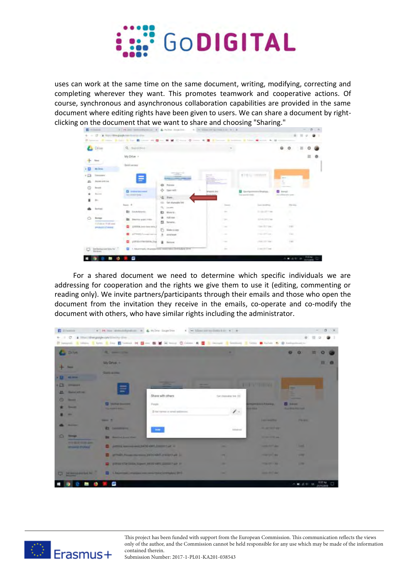

uses can work at the same time on the same document, writing, modifying, correcting and completing wherever they want. This promotes teamwork and cooperative actions. Of course, synchronous and asynchronous collaboration capabilities are provided in the same document where editing rights have been given to users. We can share a document by rightclicking on the document that we want to share and choosing "Sharing."

|            | Littung               |         | Q. Barriotte                                    |   |                                                                   |   |                                                                     |        |                                                    | ۰                                        |  |
|------------|-----------------------|---------|-------------------------------------------------|---|-------------------------------------------------------------------|---|---------------------------------------------------------------------|--------|----------------------------------------------------|------------------------------------------|--|
|            | <b>Since</b>          |         | My Ditve =                                      |   |                                                                   |   |                                                                     |        |                                                    |                                          |  |
|            | <b>HILDFee</b>        |         | Dolck armes                                     |   |                                                                   |   |                                                                     |        |                                                    |                                          |  |
| $v \Omega$ | <b>STATISTICS</b>     |         |                                                 |   | The age of the<br><b>CONTRACTOR</b><br>_____<br><b>STATISTICS</b> |   | and the party of<br>diam'r.                                         |        | <b>ETHIC STREET</b>                                | <b>Canada</b>                            |  |
| 品          | <b>Robert and me.</b> |         | Ξ                                               |   |                                                                   |   | <b>CONTRACTOR</b>                                                   |        |                                                    | $\sim$<br>÷                              |  |
|            | <b>Bound</b>          |         |                                                 | ۰ | Throne.                                                           |   |                                                                     |        |                                                    |                                          |  |
|            | Nevas                 |         | <b>D</b> International<br>has seened trans-     |   | Ct. Speciality                                                    | × | <b>American</b> Britis                                              |        | <b>Contactment Instead.</b><br>Top approved design | <b>D</b> limit<br><b>Banadian Person</b> |  |
|            | $\mathbb{R}$          |         |                                                 |   | "L. Hors.                                                         |   |                                                                     |        | and the same                                       | --                                       |  |
|            |                       | known 4 |                                                 |   | 103. Gal stumable late                                            |   |                                                                     | Texas. | Law excellence                                     | -hite sites                              |  |
|            | <b>Bankage</b>        | -       |                                                 |   | $Q_1$ . Landsky                                                   |   |                                                                     |        |                                                    |                                          |  |
|            | <b>COL</b>            |         | <b>BY</b> TRANSVILLE                            |   | E1 Morm                                                           |   | $\frac{1}{2} \left( \frac{1}{2} \right) \left( \frac{1}{2} \right)$ |        | 2120.07146                                         | ٠                                        |  |
|            | <b>Bondar</b>         |         | The Directory project trains                    |   | * 400mm                                                           |   | $\sim$<br>$\frac{1}{2} \left( \frac{1}{2} \right)^2$                |        | 25 PAL2011 Sap-                                    | $\sim$                                   |  |
|            | 114 ya at 19 of your  |         |                                                 |   | El bruno.                                                         |   | $\sim$                                                              |        | <b>SCORE</b>                                       | <b>Service</b>                           |  |
|            | <b>PANIESTANI</b>     |         | <b>Controller and Controller Avenue Control</b> |   | <b>A STORY OF</b>                                                 |   | The party                                                           |        | man for year.                                      | <b>CALC</b>                              |  |
|            |                       |         | <b>All County</b>                               |   | <b>TT MAKERSON</b>                                                |   |                                                                     |        | <b>STATISTICS</b>                                  | <b>Links</b>                             |  |
|            |                       |         | and the local property of the con-              | ٠ | <b>EUMINAL</b>                                                    |   | <b>START</b>                                                        |        | Court Services<br><b>State Council</b>             | T. Mar.                                  |  |
|            |                       |         | USEWATER SHIPS For                              |   |                                                                   |   | <b>COLLEGE</b>                                                      |        | J king call Copy                                   | 1.3.61                                   |  |

For a shared document we need to determine which specific individuals we are addressing for cooperation and the rights we give them to use it (editing, commenting or reading only). We invite partners/participants through their emails and those who open the document from the invitation they receive in the emails, co-operate and co-modify the document with others, who have similar rights including the administrator.

|                                                             | The company of the annual service of the company of the Minimum section of a                                  |                                                                                                                                                                                                                                                                                                                                                                                                                                                                            |                       |                                |                               |                                                                       |      | $B \rightarrow$ |
|-------------------------------------------------------------|---------------------------------------------------------------------------------------------------------------|----------------------------------------------------------------------------------------------------------------------------------------------------------------------------------------------------------------------------------------------------------------------------------------------------------------------------------------------------------------------------------------------------------------------------------------------------------------------------|-----------------------|--------------------------------|-------------------------------|-----------------------------------------------------------------------|------|-----------------|
| E   C   Wint/Mikego/Jester Himmy-dis-                       |                                                                                                               |                                                                                                                                                                                                                                                                                                                                                                                                                                                                            |                       |                                |                               | <b>SET</b>                                                            | 15.9 |                 |
|                                                             | Howard I step. I tree I be I tomat of B = B I Hour Colore & B i bears I because I ten B tales & B Assessments |                                                                                                                                                                                                                                                                                                                                                                                                                                                                            |                       |                                |                               |                                                                       |      |                 |
| <b>C</b> Die                                                | <b>R. Home Little</b>                                                                                         |                                                                                                                                                                                                                                                                                                                                                                                                                                                                            |                       |                                |                               |                                                                       | m    |                 |
| <b>PARKET</b><br><b>THE SHARE</b>                           | MrDNe +<br><b>Good comment</b>                                                                                |                                                                                                                                                                                                                                                                                                                                                                                                                                                                            |                       |                                |                               |                                                                       | 罪    |                 |
| o<br><b>STANDARD ST</b>                                     |                                                                                                               | $\frac{1}{2} \left( \frac{1}{2} \right) \left( \frac{1}{2} \right) \left( \frac{1}{2} \right) \left( \frac{1}{2} \right) \left( \frac{1}{2} \right) \left( \frac{1}{2} \right) \left( \frac{1}{2} \right) \left( \frac{1}{2} \right) \left( \frac{1}{2} \right) \left( \frac{1}{2} \right) \left( \frac{1}{2} \right) \left( \frac{1}{2} \right) \left( \frac{1}{2} \right) \left( \frac{1}{2} \right) \left( \frac{1}{2} \right) \left( \frac{1}{2} \right) \left( \frac$ |                       |                                | <b>THE VISION</b>             |                                                                       |      |                 |
| 共<br><b>Bank All Art</b><br>$\Omega$<br>-<br><b>Barnett</b> | Ξ<br><b>ER Station Insurance</b><br><b>TELEVISION IN THE USE</b>                                              | Share with others<br><b>Ponde</b><br>I you turned at senal uniferent.                                                                                                                                                                                                                                                                                                                                                                                                      | GAS Elementar SHA 215 | <b>Parameter</b><br>$\epsilon$ | <b>PERSONAL PROPERTY</b>      | ٠<br><b>FE</b> Away<br><b><i><u>Suppliers from the County</u></i></b> |      |                 |
|                                                             | <b>Service Man</b>                                                                                            |                                                                                                                                                                                                                                                                                                                                                                                                                                                                            |                       |                                | <b>Little markets</b>         | <b>The Ave</b>                                                        |      |                 |
| --                                                          | <b>R1 SHARROOM</b>                                                                                            | $\frac{1}{2} \left( \frac{1}{2} \right) \left( \frac{1}{2} \right) \left( \frac{1}{2} \right)$                                                                                                                                                                                                                                                                                                                                                                             |                       | Automotive                     | <b>M. All Trees Party</b>     |                                                                       |      |                 |
| ۰<br><b>Receive</b>                                         | <b>BM</b> Honding Local Steel                                                                                 |                                                                                                                                                                                                                                                                                                                                                                                                                                                                            |                       |                                | <b>Street College Service</b> |                                                                       |      |                 |
| <b>TITIER STATISTICS</b><br><b>WOODLEDGERS</b>              | pattern was seen to be to control and the                                                                     |                                                                                                                                                                                                                                                                                                                                                                                                                                                                            | $\sim$                |                                | <b>CONTRACTOR</b>             | -                                                                     |      |                 |
|                                                             | The artificial President and the contribution of the Canada and the Canada and the Canada and the Canada and  |                                                                                                                                                                                                                                                                                                                                                                                                                                                                            |                       |                                | <b>HARTON BY</b>              | ــ<br><b>START</b>                                                    |      |                 |
|                                                             | The collection of the Contract Advertisers and the Contract Advertisers and                                   |                                                                                                                                                                                                                                                                                                                                                                                                                                                                            | ٠                     |                                | <b>STANDARD &amp; Many</b>    | <b>START</b>                                                          |      |                 |
| <b>Selection and St. 2</b><br>$\Box$                        | I . Charters require recoverant lengths little                                                                |                                                                                                                                                                                                                                                                                                                                                                                                                                                                            | ٠                     |                                | ---                           |                                                                       |      |                 |
|                                                             | œ                                                                                                             |                                                                                                                                                                                                                                                                                                                                                                                                                                                                            |                       |                                |                               | <b>D. Bandan A. S. B. A.</b>                                          |      |                 |



This project has been funded with support from the European Commission. This communication reflects the views only of the author, and the Commission cannot be held responsible for any use which may be made of the information contained therein.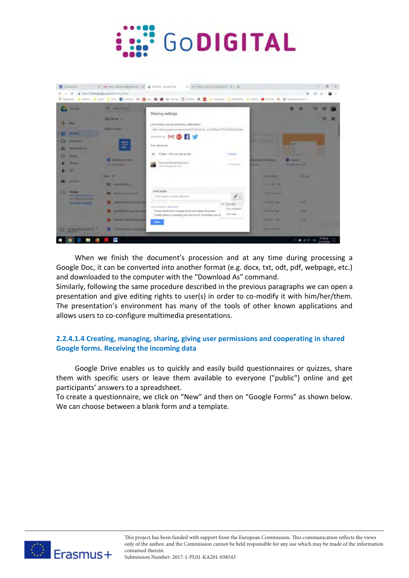



When we finish the document's procession and at any time during processing a Google Doc, it can be converted into another format (e.g. docx, txt, odt, pdf, webpage, etc.) and downloaded to the computer with the "Download As" command.

Similarly, following the same procedure described in the previous paragraphs we can open a presentation and give editing rights to user(s) in order to co-modify it with him/her/them. The presentation's environment has many of the tools of other known applications and allows users to co-configure multimedia presentations.

## **2.2.4.1.4 Creating, managing, sharing, giving user permissions and cooperating in shared Google forms. Receiving the incoming data**

Google Drive enables us to quickly and easily build questionnaires or quizzes, share them with specific users or leave them available to everyone ("public") online and get participants' answers to a spreadsheet.

To create a questionnaire, we click on "New" and then on "Google Forms" as shown below. We can choose between a blank form and a template.

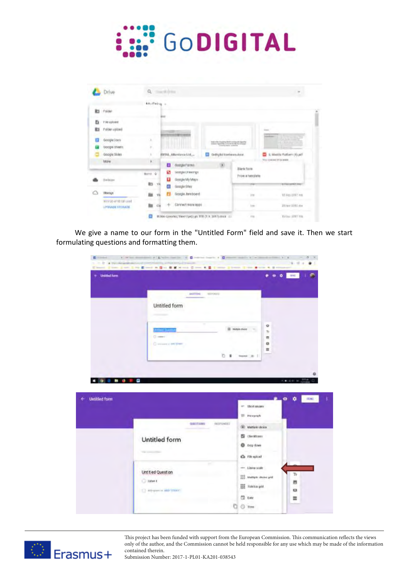

|    | Drive                                          | Q. Secret Direct   |                                                 |                               |                                      |                                 |
|----|------------------------------------------------|--------------------|-------------------------------------------------|-------------------------------|--------------------------------------|---------------------------------|
|    |                                                | Adultion -         |                                                 |                               |                                      |                                 |
| R3 | : Folder                                       |                    |                                                 |                               |                                      |                                 |
| ь  | I'll uptoed                                    | Bas.               |                                                 |                               |                                      |                                 |
| 购  | Felder upleat)                                 |                    |                                                 |                               |                                      | <b>Lines</b>                    |
| Ð  | Google Dock                                    | x                  |                                                 |                               |                                      | ---                             |
| 田  | Google Sheets                                  | r                  |                                                 | Industry September 2020       |                                      |                                 |
|    | Google Mides                                   | x                  | <b>SSETAL</b> , Attentures List                 | Gratição I seriwara dota<br>w |                                      | S. Moddie Platform (1) pdf      |
|    | katre:                                         | k.<br>o            | Octobe Forms                                    | n.                            |                                      | You concel fria lease.          |
|    |                                                | 顧<br>Harris &      | tionpechavings                                  |                               | <b>Blankfurm</b><br>From a femplate. |                                 |
|    | ENBURY                                         | u<br>R3<br>VK<br>田 | Google My Mayn<br>Google Shee                   |                               | YFW.                                 | n a<br>to import scored in your |
| ۵  | <b>IRIANOS</b>                                 | υ<br>m<br>VI.      | Dougle Aveboard                                 |                               | in.                                  | 15.9mi (IFF7.1th                |
|    | <b>MAIL BD ST NO GEORGIA</b><br>UPRAIR STOVAGE | CM<br>m            | Cannett mani lega                               |                               | <b>Inc</b>                           | IRres 1915 me                   |
|    |                                                | ο                  | ΦΟΜΑ Εργασίες Υποστηρίζημε ΤΠΕ (Τ.Υ. 2017) στου |                               | TTIL                                 | <b>Defens 2011 FBS</b>          |

We give a name to our form in the "Untitled Form" field and save it. Then we start formulating questions and formatting them.

| + Untitled form           |                                                                                                                                                                                  | $00 - 100$<br>٠                  |
|---------------------------|----------------------------------------------------------------------------------------------------------------------------------------------------------------------------------|----------------------------------|
|                           | <b>BRITTONI</b><br><b>REPORTS</b><br>Untitled form                                                                                                                               |                                  |
|                           | $\scriptstyle\rm{H}$<br>Multiple official<br><b>Antibiot Committee</b><br>Ci come i<br>Continent e INCIDIME                                                                      | o<br>76<br>西<br>$\alpha$<br>冨    |
|                           |                                                                                                                                                                                  |                                  |
| ٠<br><b>Untilled form</b> | or: Short means                                                                                                                                                                  | 大制 近例 解<br>ø<br><b>READ</b><br>۰ |
|                           | <b>ED PRIVATE</b><br><b>GREETING</b><br><b>RESERVEES</b><br>(@) Mattistraticion<br><b>El circitors</b><br>Untitled form<br>C Dop down<br>The communities<br><b>Q</b> Filt spital |                                  |

This project has been funded with support from the European Commission. This communication reflects the views only of the author, and the Commission cannot be held responsible for any use which may be made of the information contained therein.

8



Submission Number: 2017-1-PL01-KA201-038543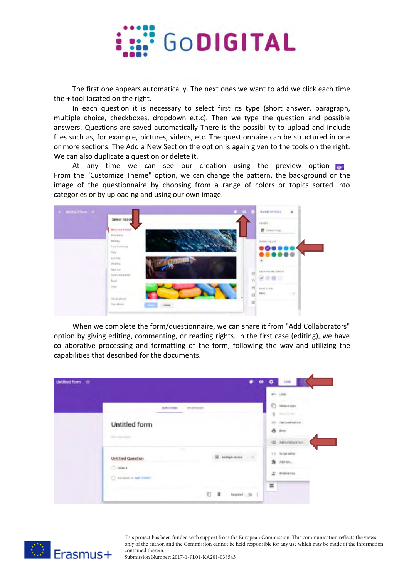

The first one appears automatically. The next ones we want to add we click each time the **+** tool located on the right.

In each question it is necessary to select first its type (short answer, paragraph, multiple choice, checkboxes, dropdown e.t.c). Then we type the question and possible answers. Questions are saved automatically There is the possibility to upload and include files such as, for example, pictures, videos, etc. The questionnaire can be structured in one or more sections. The Add a New Section the option is again given to the tools on the right. We can also duplicate a question or delete it.

At any time we can see our creation using the preview option or From the "Customize Theme" option, we can change the pattern, the background or the image of the questionnaire by choosing from a range of colors or topics sorted into categories or by uploading and using our own image.



When we complete the form/questionnaire, we can share it from "Add Collaborators" option by giving editing, commenting, or reading rights. In the first case (editing), we have collaborative processing and formatting of the form, following the way and utilizing the capabilities that described for the documents.

| Untitled form<br><br>C |                                                                         |            |              |                          |   | ๏ | ▫ | <b>BMG</b>          |  |
|------------------------|-------------------------------------------------------------------------|------------|--------------|--------------------------|---|---|---|---------------------|--|
|                        |                                                                         |            |              |                          |   |   |   | <b>LEVEL</b>        |  |
|                        |                                                                         | OUTSTRING: | <b>HUNGE</b> |                          |   |   | ō | Make a cony         |  |
|                        |                                                                         |            |              |                          |   |   | u | <b>Shouldn't be</b> |  |
|                        | Untitled form                                                           |            |              |                          |   |   |   | <b>Gerandistins</b> |  |
|                        | Telephone and products                                                  |            |              |                          |   |   |   | & Pitt              |  |
|                        |                                                                         |            |              |                          |   |   |   | 42. Attornismen.    |  |
|                        | Untitled Question                                                       |            | <b>STAR</b>  | <b>B. Milliple dolor</b> | ÷ |   |   | 4.3 Skript editor   |  |
|                        |                                                                         |            |              |                          |   |   |   | Alberta             |  |
|                        | C false t<br><b>Contractor Contractor</b><br>C. Advance or Audi fronti- |            |              |                          |   |   |   | 2. Polescal.        |  |
|                        |                                                                         |            |              | <b>SECTION</b>           |   |   | Ξ |                     |  |
|                        |                                                                         |            |              | $C$ .                    |   |   |   |                     |  |

This project has been funded with support from the European Commission. This communication reflects the views only of the author, and the Commission cannot be held responsible for any use which may be made of the information contained therein.

9



Submission Number: 2017-1-PL01-KA201-038543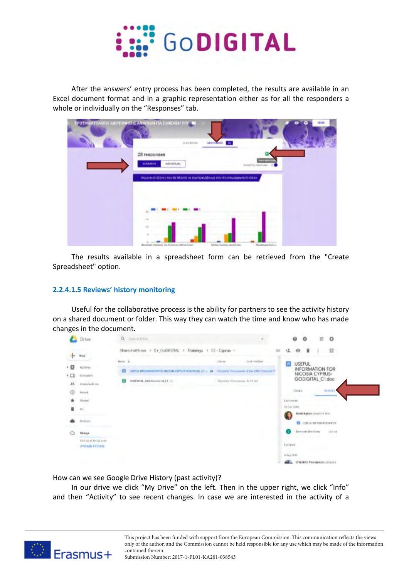

After the answers' entry process has been completed, the results are available in an Excel document format and in a graphic representation either as for all the responders a whole or individually on the "Responses" tab.

| <b>ΡΟΤΗΜΑΤΟΛΟΓΙΟ ΔΙΕΡΕΥΝΑΙΣ ΑΝΑΓΚΩΝ ΓΙΑ ΣΥΝΕΧΙΣΗ ΤΟΥ ΤΗ</b><br>auctions.    | <b>MINIMER ST</b>           |                      | 18745 |
|-----------------------------------------------------------------------------|-----------------------------|----------------------|-------|
| 28 responses<br><b>BURNHAW</b><br>INDIVIDUAL.                               |                             | <b>STEP</b>          |       |
| θεματικοί δέντες των θα θέλατε να συμπεριλάβουμε στα νέο σπρόσφωτικά κολλα- |                             | Annetti u vennona    |       |
|                                                                             |                             |                      |       |
|                                                                             |                             |                      |       |
|                                                                             |                             |                      |       |
|                                                                             |                             |                      |       |
| mandel was that strucks support from a                                      | Talking deposits an outcome | Novama permiteria di |       |

The results available in a spreadsheet form can be retrieved from the "Create Spreadsheet" option.

#### **2.2.4.1.5 Reviews' history monitoring**

Useful for the collaborative process is the ability for partners to see the activity history on a shared document or folder. This way they can watch the time and know who has made changes in the document.



How can we see Google Drive History (past activity)?

In our drive we click "My Drive" on the left. Then in the upper right, we click "Info" and then "Activity" to see recent changes. In case we are interested in the activity of a